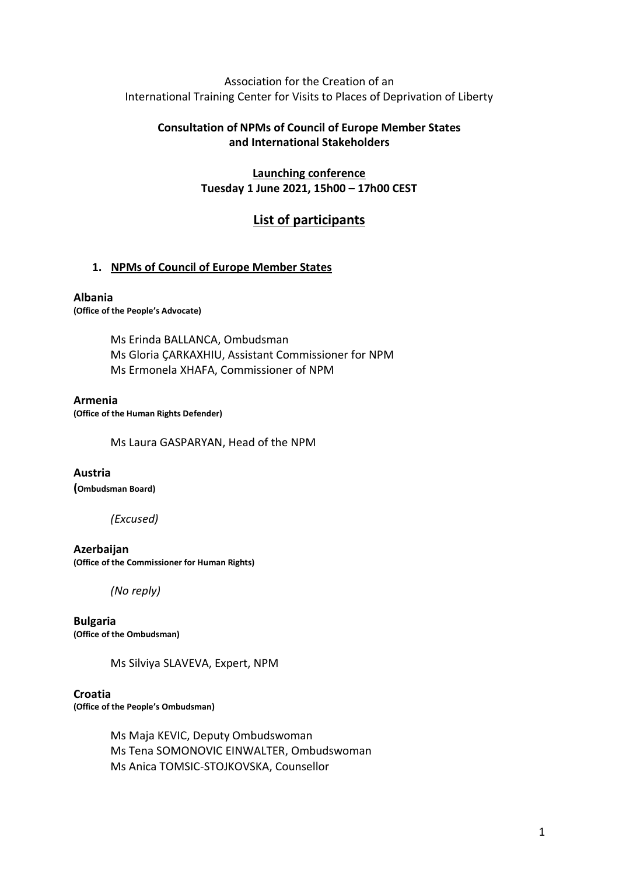Association for the Creation of an International Training Center for Visits to Places of Deprivation of Liberty

## **Consultation of NPMs of Council of Europe Member States and International Stakeholders**

**Launching conference Tuesday 1 June 2021, 15h00 – 17h00 CEST**

# **List of participants**

### **1. NPMs of Council of Europe Member States**

#### **Albania**

**(Office of the People's Advocate)**

Ms Erinda BALLANCA, Ombudsman Ms Gloria ÇARKAXHIU, Assistant Commissioner for NPM Ms Ermonela XHAFA, Commissioner of NPM

#### **Armenia**

**(Office of the Human Rights Defender)**

Ms Laura GASPARYAN, Head of the NPM

#### **Austria**

**(Ombudsman Board)**

#### *(Excused)*

**Azerbaijan (Office of the Commissioner for Human Rights)**

*(No reply)*

**Bulgaria (Office of the Ombudsman)**

Ms Silviya SLAVEVA, Expert, NPM

#### **Croatia**

**(Office of the People's Ombudsman)**

Ms Maja KEVIC, Deputy Ombudswoman Ms Tena SOMONOVIC EINWALTER, Ombudswoman Ms Anica TOMSIC-STOJKOVSKA, Counsellor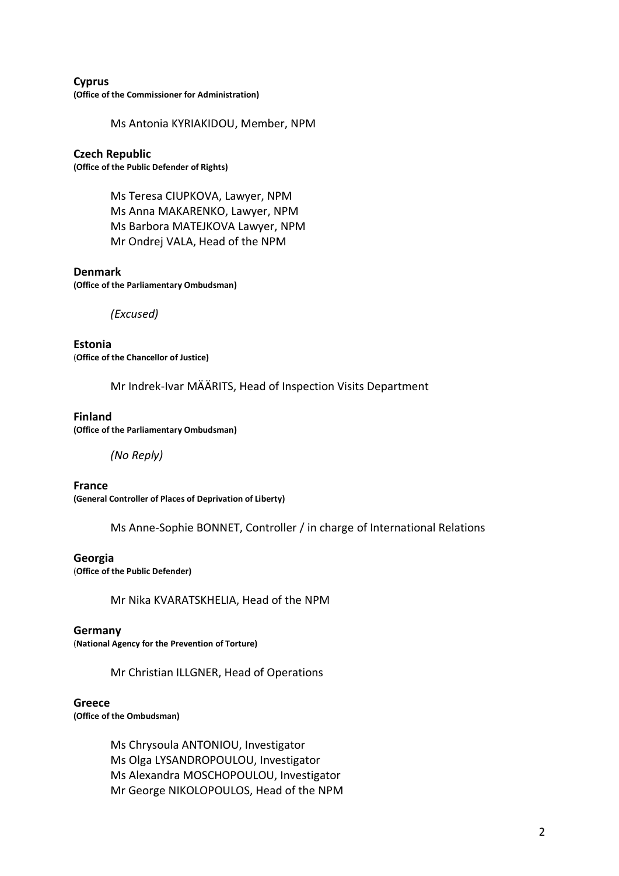**Cyprus (Office of the Commissioner for Administration)**

Ms Antonia KYRIAKIDOU, Member, NPM

## **Czech Republic**

**(Office of the Public Defender of Rights)**

Ms Teresa CIUPKOVA, Lawyer, NPM Ms Anna MAKARENKO, Lawyer, NPM Ms Barbora MATEJKOVA Lawyer, NPM Mr Ondrej VALA, Head of the NPM

### **Denmark**

**(Office of the Parliamentary Ombudsman)**

*(Excused)*

**Estonia** (**Office of the Chancellor of Justice)**

Mr Indrek-Ivar MÄÄRITS, Head of Inspection Visits Department

### **Finland**

**(Office of the Parliamentary Ombudsman)**

*(No Reply)*

**France (General Controller of Places of Deprivation of Liberty)**

Ms Anne-Sophie BONNET, Controller / in charge of International Relations

### **Georgia**

(**Office of the Public Defender)**

Mr Nika KVARATSKHELIA, Head of the NPM

#### **Germany**

(**National Agency for the Prevention of Torture)**

Mr Christian ILLGNER, Head of Operations

#### **Greece**

**(Office of the Ombudsman)**

Ms Chrysoula ANTONIOU, Investigator Ms Olga LYSANDROPOULOU, Investigator Ms Alexandra MOSCHOPOULOU, Investigator Mr George NIKOLOPOULOS, Head of the NPM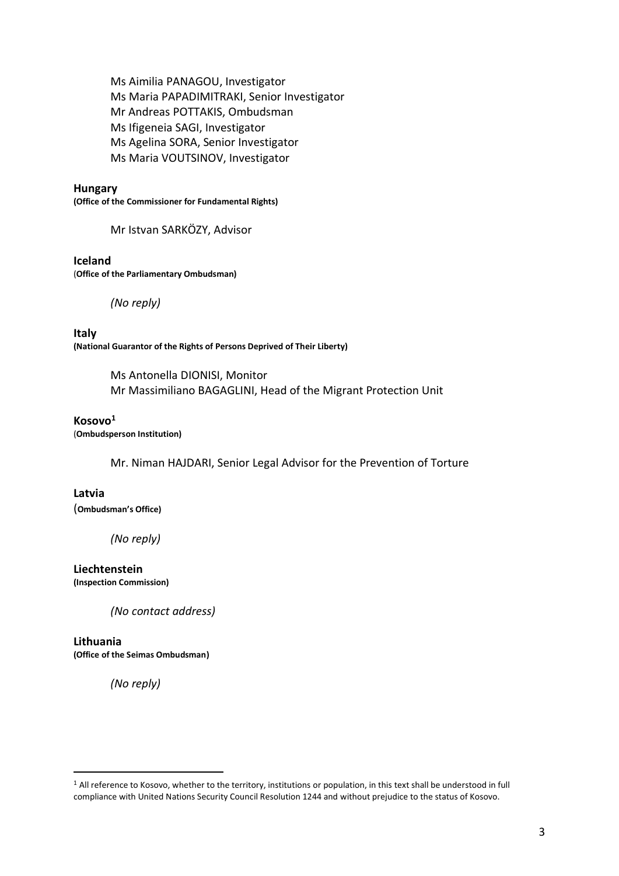Ms Aimilia PANAGOU, Investigator Ms Maria PAPADIMITRAKI, Senior Investigator Mr Andreas POTTAKIS, Ombudsman Ms Ifigeneia SAGI, Investigator Ms Agelina SORA, Senior Investigator Ms Maria VOUTSINOV, Investigator

#### **Hungary**

**(Office of the Commissioner for Fundamental Rights)**

Mr Istvan SARKÖZY, Advisor

#### **Iceland**

(**Office of the Parliamentary Ombudsman)**

*(No reply)*

**Italy (National Guarantor of the Rights of Persons Deprived of Their Liberty)**

> Ms Antonella DIONISI, Monitor Mr Massimiliano BAGAGLINI, Head of the Migrant Protection Unit

#### **Kosovo<sup>1</sup>**

(**Ombudsperson Institution)**

Mr. Niman HAJDARI, Senior Legal Advisor for the Prevention of Torture

### **Latvia**

(**Ombudsman's Office)**

*(No reply)*

#### **Liechtenstein**

**(Inspection Commission)**

*(No contact address)*

#### **Lithuania**

**(Office of the Seimas Ombudsman)**

*(No reply)*

<sup>&</sup>lt;sup>1</sup> All reference to Kosovo, whether to the territory, institutions or population, in this text shall be understood in full compliance with United Nations Security Council Resolution 1244 and without prejudice to the status of Kosovo.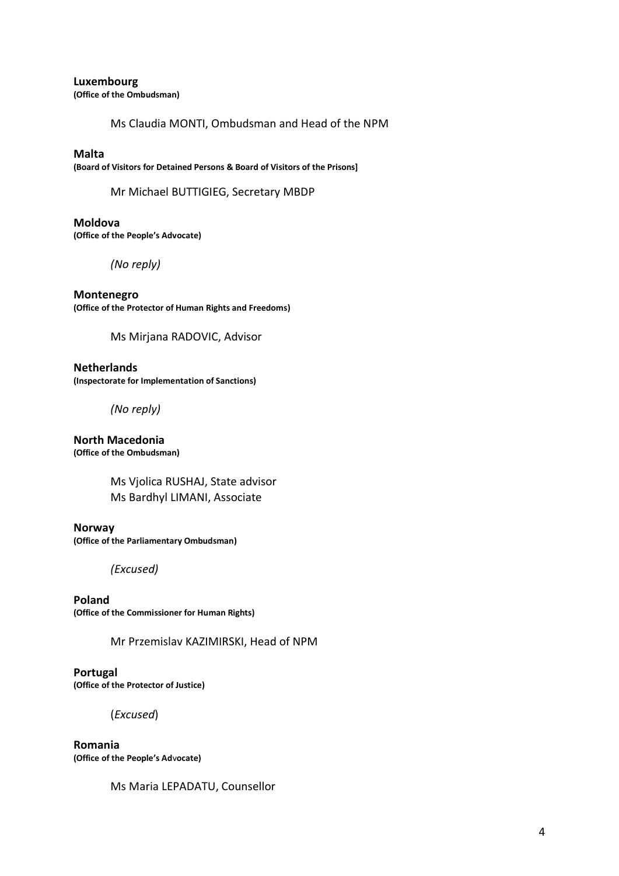**Luxembourg (Office of the Ombudsman)**

Ms Claudia MONTI, Ombudsman and Head of the NPM

### **Malta**

**(Board of Visitors for Detained Persons & Board of Visitors of the Prisons]**

Mr Michael BUTTIGIEG, Secretary MBDP

**Moldova (Office of the People's Advocate)**

*(No reply)*

**Montenegro (Office of the Protector of Human Rights and Freedoms)**

Ms Mirjana RADOVIC, Advisor

**Netherlands (Inspectorate for Implementation of Sanctions)**

*(No reply)*

**North Macedonia (Office of the Ombudsman)**

> Ms Vjolica RUSHAJ, State advisor Ms Bardhyl LIMANI, Associate

**Norway (Office of the Parliamentary Ombudsman)**

*(Excused)*

**Poland (Office of the Commissioner for Human Rights)**

Mr Przemislav KAZIMIRSKI, Head of NPM

**Portugal (Office of the Protector of Justice)**

(*Excused*)

**Romania (Office of the People's Ad**v**ocate)**

Ms Maria LEPADATU, Counsellor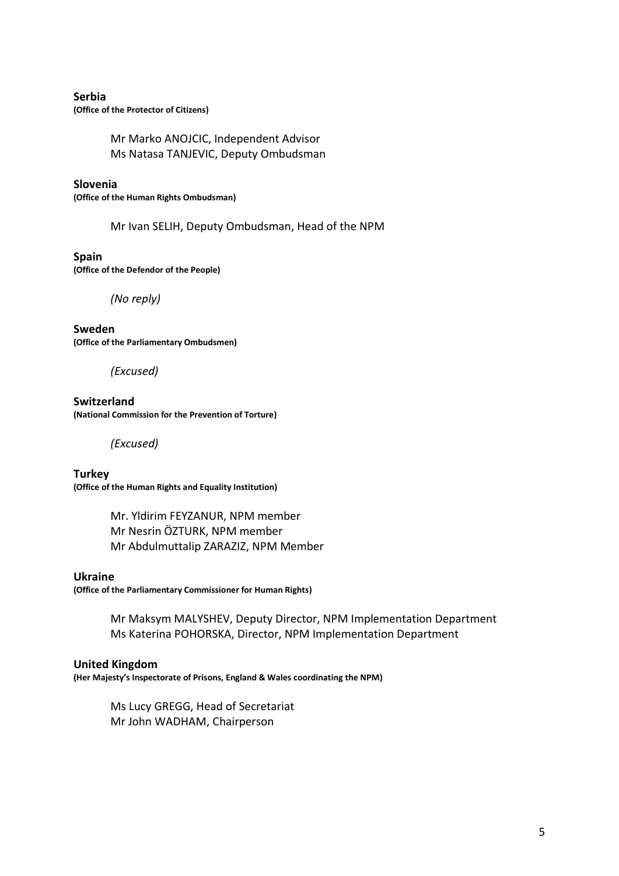### **Serbia**

**(Office of the Protector of Citizens)**

Mr Marko ANOJCIC, Independent Advisor Ms Natasa TANJEVIC, Deputy Ombudsman

**Slovenia**

**(Office of the Human Rights Ombudsman)**

Mr Ivan SELIH, Deputy Ombudsman, Head of the NPM

**Spain (Office of the Defendor of the People)**

*(No reply)*

**Sweden (Office of the Parliamentary Ombudsmen)**

*(Excused)*

**Switzerland (National Commission for the Prevention of Torture)**

*(Excused)*

**Turkey (Office of the Human Rights and Equality Institution)**

> Mr. Yldirim FEYZANUR, NPM member Mr Nesrin ÖZTURK, NPM member Mr Abdulmuttalip ZARAZIZ, NPM Member

#### **Ukraine**

**(Office of the Parliamentary Commissioner for Human Rights)**

Mr Maksym MALYSHEV, Deputy Director, NPM Implementation Department Ms Katerina POHORSKA, Director, NPM Implementation Department

#### **United Kingdom**

**(Her Majesty's Inspectorate of Prisons, England & Wales coordinating the NPM)**

Ms Lucy GREGG, Head of Secretariat Mr John WADHAM, Chairperson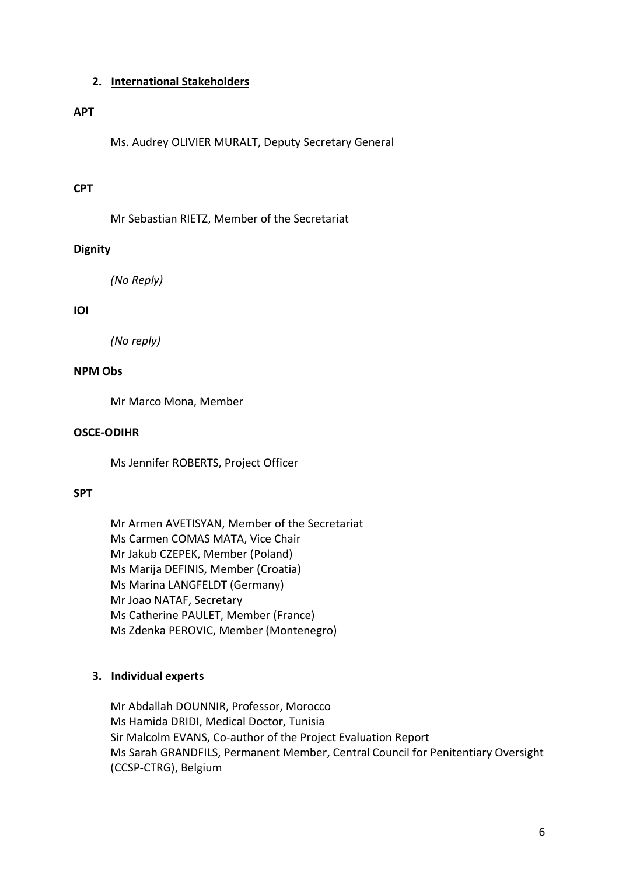### **2. International Stakeholders**

### **APT**

Ms. Audrey OLIVIER MURALT, Deputy Secretary General

# **CPT**

Mr Sebastian RIETZ, Member of the Secretariat

# **Dignity**

*(No Reply)*

# **IOI**

*(No reply)*

# **NPM Obs**

Mr Marco Mona, Member

## **OSCE-ODIHR**

Ms Jennifer ROBERTS, Project Officer

### **SPT**

Mr Armen AVETISYAN, Member of the Secretariat Ms Carmen COMAS MATA, Vice Chair Mr Jakub CZEPEK, Member (Poland) Ms Marija DEFINIS, Member (Croatia) Ms Marina LANGFELDT (Germany) Mr Joao NATAF, Secretary Ms Catherine PAULET, Member (France) Ms Zdenka PEROVIC, Member (Montenegro)

# **3. Individual experts**

Mr Abdallah DOUNNIR, Professor, Morocco Ms Hamida DRIDI, Medical Doctor, Tunisia Sir Malcolm EVANS, Co-author of the Project Evaluation Report Ms Sarah GRANDFILS, Permanent Member, Central Council for Penitentiary Oversight (CCSP-CTRG), Belgium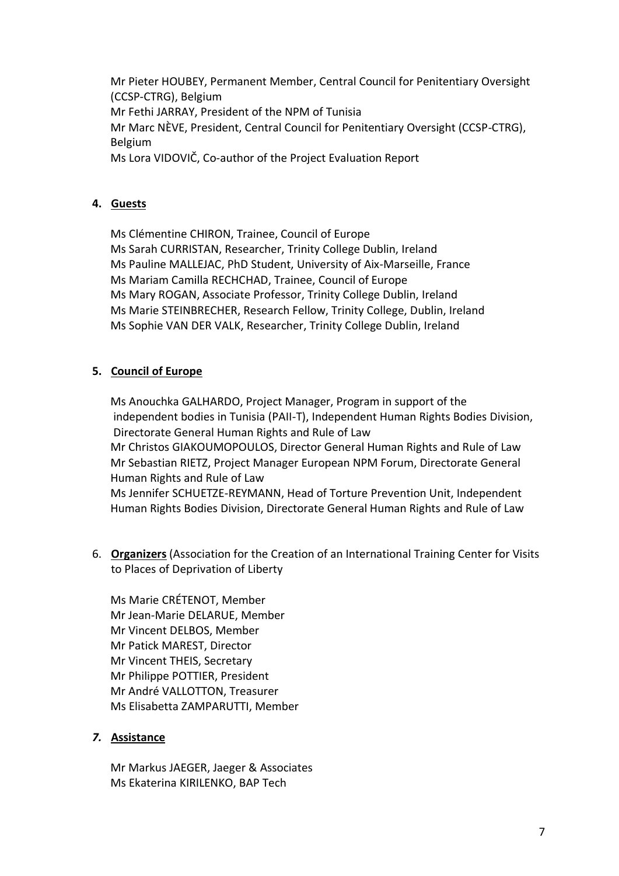Mr Pieter HOUBEY, Permanent Member, Central Council for Penitentiary Oversight (CCSP-CTRG), Belgium Mr Fethi JARRAY, President of the NPM of Tunisia Mr Marc NÈVE, President, Central Council for Penitentiary Oversight (CCSP-CTRG), Belgium Ms Lora VIDOVIČ, Co-author of the Project Evaluation Report

# **4. Guests**

Ms Clémentine CHIRON, Trainee, Council of Europe Ms Sarah CURRISTAN, Researcher, Trinity College Dublin, Ireland Ms Pauline MALLEJAC, PhD Student, University of Aix-Marseille, France Ms Mariam Camilla RECHCHAD, Trainee, Council of Europe Ms Mary ROGAN, Associate Professor, Trinity College Dublin, Ireland Ms Marie STEINBRECHER, Research Fellow, Trinity College, Dublin, Ireland Ms Sophie VAN DER VALK, Researcher, Trinity College Dublin, Ireland

# **5. Council of Europe**

Ms Anouchka GALHARDO, Project Manager, Program in support of the independent bodies in Tunisia (PAII-T), Independent Human Rights Bodies Division, Directorate General Human Rights and Rule of Law Mr Christos GIAKOUMOPOULOS, Director General Human Rights and Rule of Law Mr Sebastian RIETZ, Project Manager European NPM Forum, Directorate General Human Rights and Rule of Law Ms Jennifer SCHUETZE-REYMANN, Head of Torture Prevention Unit, Independent Human Rights Bodies Division, Directorate General Human Rights and Rule of Law

6. **Organizers** (Association for the Creation of an International Training Center for Visits to Places of Deprivation of Liberty

Ms Marie CRÉTENOT, Member Mr Jean-Marie DELARUE, Member Mr Vincent DELBOS, Member Mr Patick MAREST, Director Mr Vincent THEIS, Secretary Mr Philippe POTTIER, President Mr André VALLOTTON, Treasurer Ms Elisabetta ZAMPARUTTI, Member

# *7.* **Assistance**

Mr Markus JAEGER, Jaeger & Associates Ms Ekaterina KIRILENKO, BAP Tech